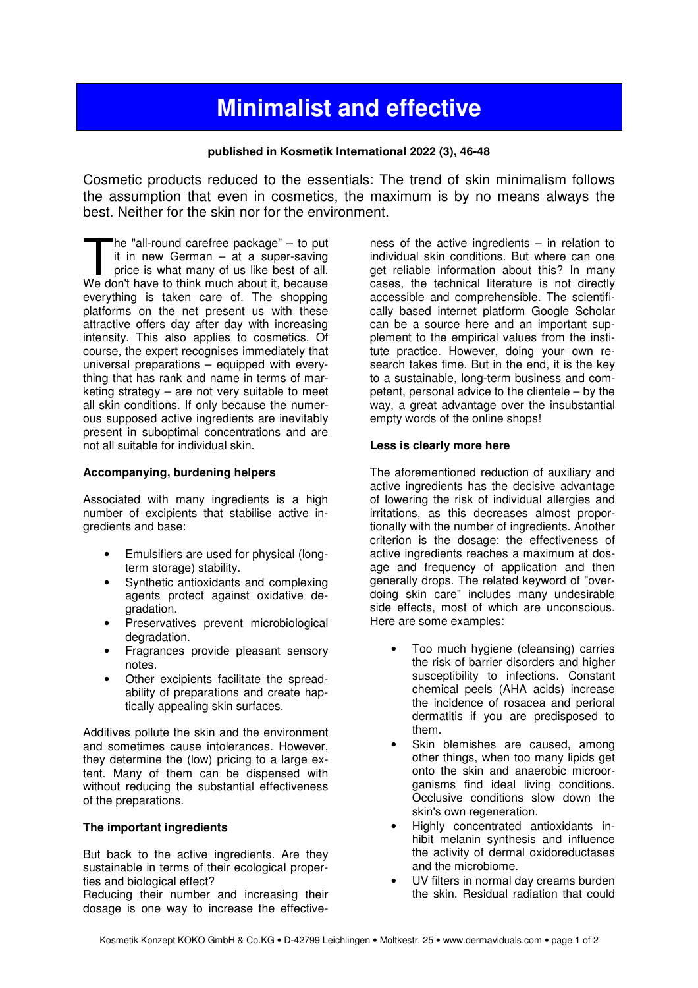# **Minimalist and effective**

#### **published in Kosmetik International 2022 (3), 46-48**

Cosmetic products reduced to the essentials: The trend of skin minimalism follows the assumption that even in cosmetics, the maximum is by no means always the best. Neither for the skin nor for the environment.

he "all-round carefree package" – to put it in new German – at a super-saving price is what many of us like best of all. The "all-round carefree package" - to put<br>it in new German - at a super-saving<br>price is what many of us like best of all.<br>We don't have to think much about it, because everything is taken care of. The shopping platforms on the net present us with these attractive offers day after day with increasing intensity. This also applies to cosmetics. Of course, the expert recognises immediately that universal preparations – equipped with everything that has rank and name in terms of marketing strategy – are not very suitable to meet all skin conditions. If only because the numerous supposed active ingredients are inevitably present in suboptimal concentrations and are not all suitable for individual skin.

#### **Accompanying, burdening helpers**

Associated with many ingredients is a high number of excipients that stabilise active ingredients and base:

- Emulsifiers are used for physical (longterm storage) stability.
- Synthetic antioxidants and complexing agents protect against oxidative degradation.
- Preservatives prevent microbiological degradation.
- Fragrances provide pleasant sensory notes.
- Other excipients facilitate the spreadability of preparations and create haptically appealing skin surfaces.

Additives pollute the skin and the environment and sometimes cause intolerances. However, they determine the (low) pricing to a large extent. Many of them can be dispensed with without reducing the substantial effectiveness of the preparations.

#### **The important ingredients**

But back to the active ingredients. Are they sustainable in terms of their ecological properties and biological effect?

Reducing their number and increasing their dosage is one way to increase the effective-

ness of the active ingredients – in relation to individual skin conditions. But where can one get reliable information about this? In many cases, the technical literature is not directly accessible and comprehensible. The scientifically based internet platform Google Scholar can be a source here and an important supplement to the empirical values from the institute practice. However, doing your own research takes time. But in the end, it is the key to a sustainable, long-term business and competent, personal advice to the clientele – by the way, a great advantage over the insubstantial empty words of the online shops!

#### **Less is clearly more here**

The aforementioned reduction of auxiliary and active ingredients has the decisive advantage of lowering the risk of individual allergies and irritations, as this decreases almost proportionally with the number of ingredients. Another criterion is the dosage: the effectiveness of active ingredients reaches a maximum at dosage and frequency of application and then generally drops. The related keyword of "overdoing skin care" includes many undesirable side effects, most of which are unconscious. Here are some examples:

- Too much hygiene (cleansing) carries the risk of barrier disorders and higher susceptibility to infections. Constant chemical peels (AHA acids) increase the incidence of rosacea and perioral dermatitis if you are predisposed to them.
- Skin blemishes are caused, among other things, when too many lipids get onto the skin and anaerobic microorganisms find ideal living conditions. Occlusive conditions slow down the skin's own regeneration.
- Highly concentrated antioxidants inhibit melanin synthesis and influence the activity of dermal oxidoreductases and the microbiome.
- UV filters in normal day creams burden the skin. Residual radiation that could